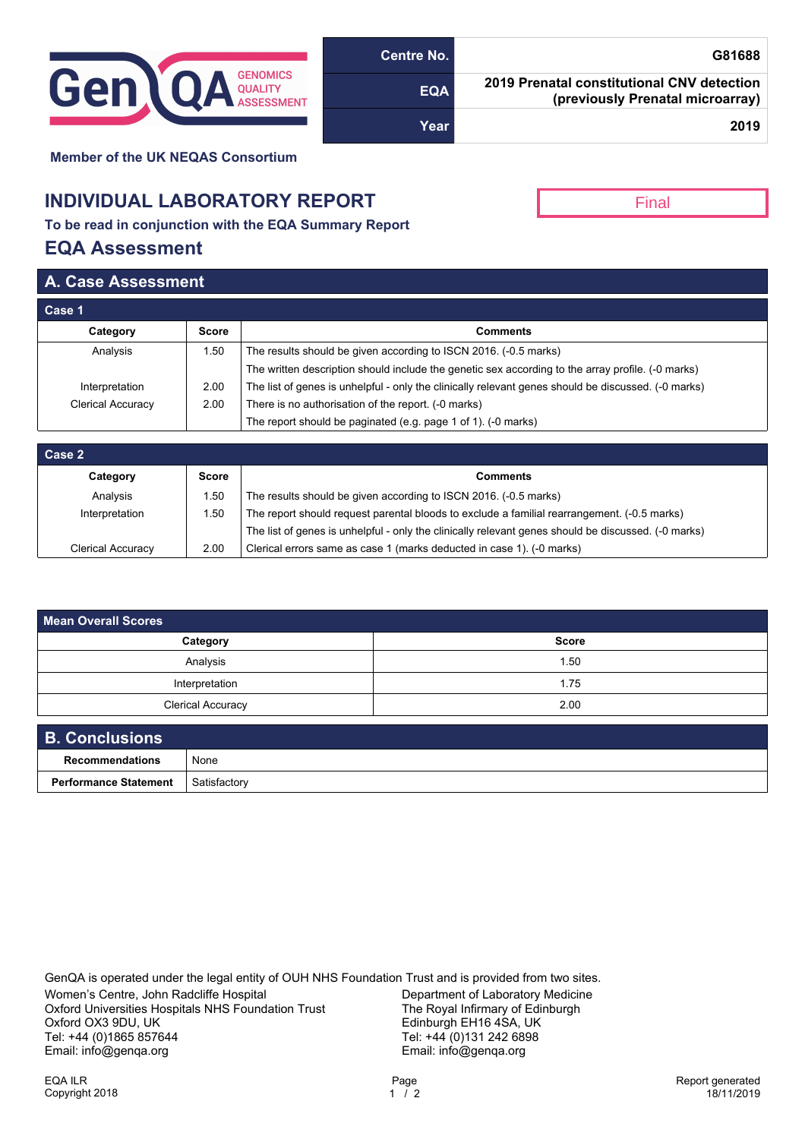

| G81688                                                                         | Centre No. |
|--------------------------------------------------------------------------------|------------|
| 2019 Prenatal constitutional CNV detection<br>(previously Prenatal microarray) | <b>EQA</b> |
| 2019                                                                           | Year       |

Final

**Member of the UK NEQAS Consortium**

## **INDIVIDUAL LABORATORY REPORT**

**To be read in conjunction with the EQA Summary Report**

## **EQA Assessment**

## **A. Case Assessment**

| Case 1            |              |                                                                                                     |  |  |
|-------------------|--------------|-----------------------------------------------------------------------------------------------------|--|--|
| Category          | <b>Score</b> | <b>Comments</b>                                                                                     |  |  |
| Analysis          | 1.50         | The results should be given according to ISCN 2016. (-0.5 marks)                                    |  |  |
|                   |              | The written description should include the genetic sex according to the array profile. (-0 marks)   |  |  |
| Interpretation    | 2.00         | The list of genes is unhelpful - only the clinically relevant genes should be discussed. (-0 marks) |  |  |
| Clerical Accuracy | 2.00         | There is no authorisation of the report. (-0 marks)                                                 |  |  |
|                   |              | The report should be paginated (e.g. page 1 of 1). (-0 marks)                                       |  |  |

| Case 2            |       |                                                                                                     |  |  |
|-------------------|-------|-----------------------------------------------------------------------------------------------------|--|--|
| Category          | Score | Comments                                                                                            |  |  |
| Analysis          | .50   | The results should be given according to ISCN 2016. (-0.5 marks)                                    |  |  |
| Interpretation    | .50   | The report should request parental bloods to exclude a familial rearrangement. (-0.5 marks)         |  |  |
|                   |       | The list of genes is unhelpful - only the clinically relevant genes should be discussed. (-0 marks) |  |  |
| Clerical Accuracy | 2.00  | Clerical errors same as case 1 (marks deducted in case 1). (-0 marks)                               |  |  |

| <b>Mean Overall Scores</b> |              |  |  |  |  |
|----------------------------|--------------|--|--|--|--|
| Category                   | <b>Score</b> |  |  |  |  |
| Analysis                   | 1.50         |  |  |  |  |
| Interpretation             | 1.75         |  |  |  |  |
| <b>Clerical Accuracy</b>   | 2.00         |  |  |  |  |
| <b>B. Conclusions</b>      |              |  |  |  |  |

| <b>B. Conclusions</b>        |              |
|------------------------------|--------------|
| Recommendations              | None         |
| <b>Performance Statement</b> | Satisfactory |